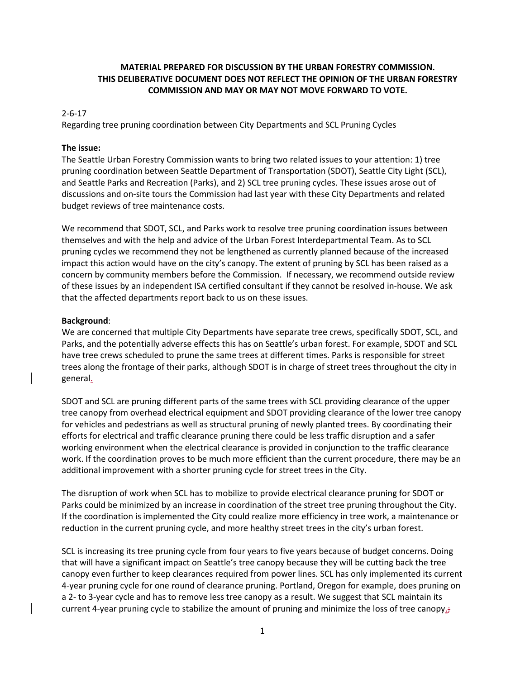# **MATERIAL PREPARED FOR DISCUSSION BY THE URBAN FORESTRY COMMISSION. THIS DELIBERATIVE DOCUMENT DOES NOT REFLECT THE OPINION OF THE URBAN FORESTRY COMMISSION AND MAY OR MAY NOT MOVE FORWARD TO VOTE.**

## 2-6-17

Regarding tree pruning coordination between City Departments and SCL Pruning Cycles

### **The issue:**

The Seattle Urban Forestry Commission wants to bring two related issues to your attention: 1) tree pruning coordination between Seattle Department of Transportation (SDOT), Seattle City Light (SCL), and Seattle Parks and Recreation (Parks), and 2) SCL tree pruning cycles. These issues arose out of discussions and on-site tours the Commission had last year with these City Departments and related budget reviews of tree maintenance costs.

We recommend that SDOT, SCL, and Parks work to resolve tree pruning coordination issues between themselves and with the help and advice of the Urban Forest Interdepartmental Team. As to SCL pruning cycles we recommend they not be lengthened as currently planned because of the increased impact this action would have on the city's canopy. The extent of pruning by SCL has been raised as a concern by community members before the Commission. If necessary, we recommend outside review of these issues by an independent ISA certified consultant if they cannot be resolved in-house. We ask that the affected departments report back to us on these issues.

### **Background**:

We are concerned that multiple City Departments have separate tree crews, specifically SDOT, SCL, and Parks, and the potentially adverse effects this has on Seattle's urban forest. For example, SDOT and SCL have tree crews scheduled to prune the same trees at different times. Parks is responsible for street trees along the frontage of their parks, although SDOT is in charge of street trees throughout the city in general.

SDOT and SCL are pruning different parts of the same trees with SCL providing clearance of the upper tree canopy from overhead electrical equipment and SDOT providing clearance of the lower tree canopy for vehicles and pedestrians as well as structural pruning of newly planted trees. By coordinating their efforts for electrical and traffic clearance pruning there could be less traffic disruption and a safer working environment when the electrical clearance is provided in conjunction to the traffic clearance work. If the coordination proves to be much more efficient than the current procedure, there may be an additional improvement with a shorter pruning cycle for street trees in the City.

The disruption of work when SCL has to mobilize to provide electrical clearance pruning for SDOT or Parks could be minimized by an increase in coordination of the street tree pruning throughout the City. If the coordination is implemented the City could realize more efficiency in tree work, a maintenance or reduction in the current pruning cycle, and more healthy street trees in the city's urban forest.

SCL is increasing its tree pruning cycle from four years to five years because of budget concerns. Doing that will have a significant impact on Seattle's tree canopy because they will be cutting back the tree canopy even further to keep clearances required from power lines. SCL has only implemented its current 4-year pruning cycle for one round of clearance pruning. Portland, Oregon for example, does pruning on a 2- to 3-year cycle and has to remove less tree canopy as a result. We suggest that SCL maintain its current 4-year pruning cycle to stabilize the amount of pruning and minimize the loss of tree canopy. $\frac{1}{2}$